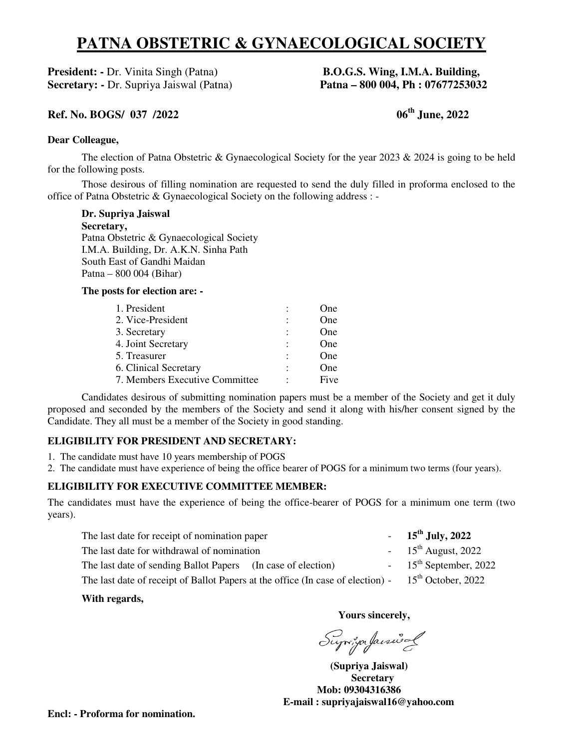# **PATNA OBSTETRIC & GYNAECOLOGICAL SOCIETY**

**President: -** Dr. Vinita Singh (Patna) **Secretary: -** Dr. Supriya Jaiswal (Patna)

# (Patna) **B.O.G.S. Wing, I.M.A. Building,**<br>
val (Patna) **Patna – 800 004, Ph : 07677253032** Patna) **Patna – 800 004, Ph : 07677253032**

## **Ref. No. BOGS/ 037 /2022**

# **06th June, 20 June, 2022**

#### **Dear Colleague,**

The election of Patna Obstetric & Gynaecological Society for the year 2023  $\&$  2024 is going to be held for the following posts.

Those desirous of filling nomination are requested to send the duly filled in proforma enclosed to the office of Patna Obstetric & Gynaecological Society on the following address : -

**Dr. Supriya Jaiswal** 

 **Secretary,**  Patna Obstetric & Gynaecological Society I.M.A. Building, Dr. A.K.N. Sinha Path South East of Gandhi Maidan Patna – 800 004 (Bihar)

#### **The posts for election are: -**

| 1. President                   |   | One  |
|--------------------------------|---|------|
| 2. Vice-President              |   | One  |
| 3. Secretary                   | ٠ | One  |
| 4. Joint Secretary             |   | One  |
| 5. Treasurer                   |   | One  |
| 6. Clinical Secretary          |   | One  |
| 7. Members Executive Committee |   | Five |

 Candidates desirous of submitting nomination papers must be a member of the Society and get it duly proposed and seconded by the members of the Society and send it along with his/her consent signed by the Candidate. They all must be a member of the Society in good standing. Candidates desirous of submitting nomination papers must be a member of the Society and get it duly proposed and seconded by the members of the Society and send it along with his/her consent signed by the Candidate. They a

## **ELIGIBILITY FOR PRESIDENT AND SECRETARY: ELIGIBILITY FOR PRESIDENT**

- 1. The candidate must have 10 years membership of POGS
- 2. The candidate must have experience of being the office bearer of POGS for a minimum two terms (four years).

## **ELIGIBILITY FOR EXECUTIVE COMMITTEE MEMBER:**

The candidates must have the experience of being the office-bearer of POGS for a minimum one term (two years).

| The last date for receipt of nomination paper                                   | $-15^{th}$ July, 2022             |
|---------------------------------------------------------------------------------|-----------------------------------|
| The last date for withdrawal of nomination                                      | $-15^{th}$ August, 2022           |
| The last date of sending Ballot Papers (In case of election)                    | $-15^{\text{th}}$ September, 2022 |
| The last date of receipt of Ballot Papers at the office (In case of election) - | $15th$ October, 2022              |

## **With regards,**

**Yours sincerely,** 

Suja "ja faisural

 **(Supriya Jaiswal) Secretary Mob: 09304316386 E-mail : supriyajaiswal16@yahoo yahoo.com**